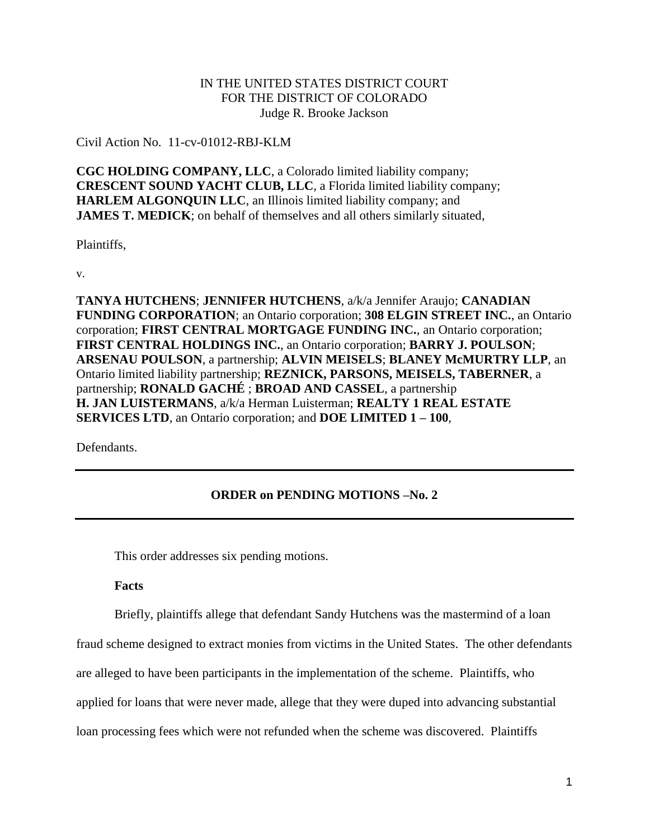# IN THE UNITED STATES DISTRICT COURT FOR THE DISTRICT OF COLORADO Judge R. Brooke Jackson

Civil Action No. 11-cv-01012-RBJ-KLM

**CGC HOLDING COMPANY, LLC**, a Colorado limited liability company; **CRESCENT SOUND YACHT CLUB, LLC**, a Florida limited liability company; **HARLEM ALGONQUIN LLC**, an Illinois limited liability company; and **JAMES T. MEDICK**; on behalf of themselves and all others similarly situated,

Plaintiffs,

v.

**TANYA HUTCHENS**; **JENNIFER HUTCHENS**, a/k/a Jennifer Araujo; **CANADIAN FUNDING CORPORATION**; an Ontario corporation; **308 ELGIN STREET INC.**, an Ontario corporation; **FIRST CENTRAL MORTGAGE FUNDING INC.**, an Ontario corporation; **FIRST CENTRAL HOLDINGS INC.**, an Ontario corporation; **BARRY J. POULSON**; **ARSENAU POULSON**, a partnership; **ALVIN MEISELS**; **BLANEY McMURTRY LLP**, an Ontario limited liability partnership; **REZNICK, PARSONS, MEISELS, TABERNER**, a partnership; **RONALD GACHÉ** ; **BROAD AND CASSEL**, a partnership **H. JAN LUISTERMANS**, a/k/a Herman Luisterman; **REALTY 1 REAL ESTATE SERVICES LTD**, an Ontario corporation; and **DOE LIMITED 1 – 100**,

Defendants.

# **ORDER on PENDING MOTIONS –No. 2**

This order addresses six pending motions.

**Facts**

Briefly, plaintiffs allege that defendant Sandy Hutchens was the mastermind of a loan

fraud scheme designed to extract monies from victims in the United States. The other defendants

are alleged to have been participants in the implementation of the scheme. Plaintiffs, who

applied for loans that were never made, allege that they were duped into advancing substantial

loan processing fees which were not refunded when the scheme was discovered. Plaintiffs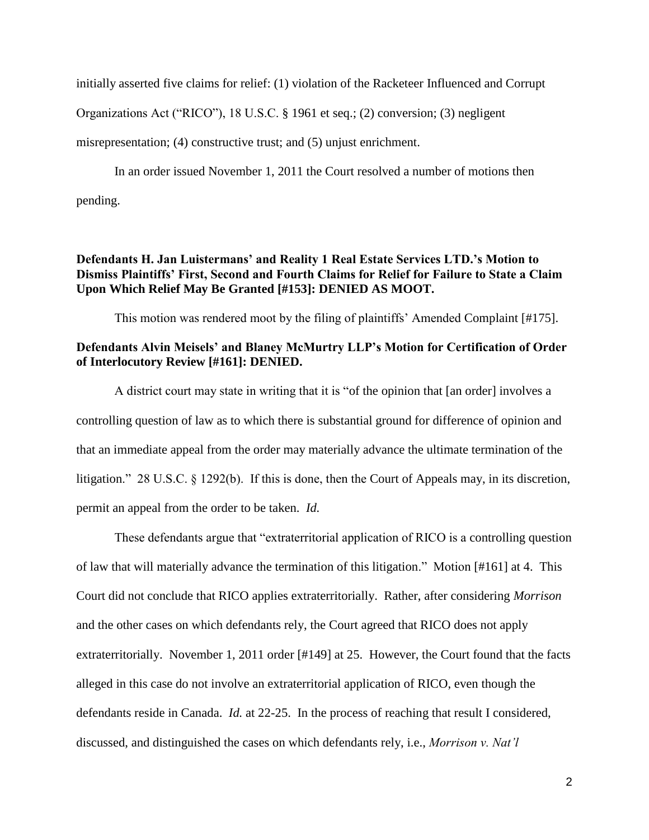initially asserted five claims for relief: (1) violation of the Racketeer Influenced and Corrupt

Organizations Act ("RICO"), 18 U.S.C. § 1961 et seq.; (2) conversion; (3) negligent

misrepresentation; (4) constructive trust; and (5) unjust enrichment.

In an order issued November 1, 2011 the Court resolved a number of motions then pending.

# **Defendants H. Jan Luistermans' and Reality 1 Real Estate Services LTD.'s Motion to Dismiss Plaintiffs' First, Second and Fourth Claims for Relief for Failure to State a Claim Upon Which Relief May Be Granted [#153]: DENIED AS MOOT.**

This motion was rendered moot by the filing of plaintiffs' Amended Complaint [#175].

# **Defendants Alvin Meisels' and Blaney McMurtry LLP's Motion for Certification of Order of Interlocutory Review [#161]: DENIED.**

A district court may state in writing that it is "of the opinion that [an order] involves a controlling question of law as to which there is substantial ground for difference of opinion and that an immediate appeal from the order may materially advance the ultimate termination of the litigation." 28 U.S.C. § 1292(b). If this is done, then the Court of Appeals may, in its discretion, permit an appeal from the order to be taken. *Id.* 

These defendants argue that "extraterritorial application of RICO is a controlling question of law that will materially advance the termination of this litigation." Motion [#161] at 4. This Court did not conclude that RICO applies extraterritorially. Rather, after considering *Morrison*  and the other cases on which defendants rely, the Court agreed that RICO does not apply extraterritorially. November 1, 2011 order [#149] at 25. However, the Court found that the facts alleged in this case do not involve an extraterritorial application of RICO, even though the defendants reside in Canada. *Id.* at 22-25. In the process of reaching that result I considered, discussed, and distinguished the cases on which defendants rely, i.e., *Morrison v. Nat'l*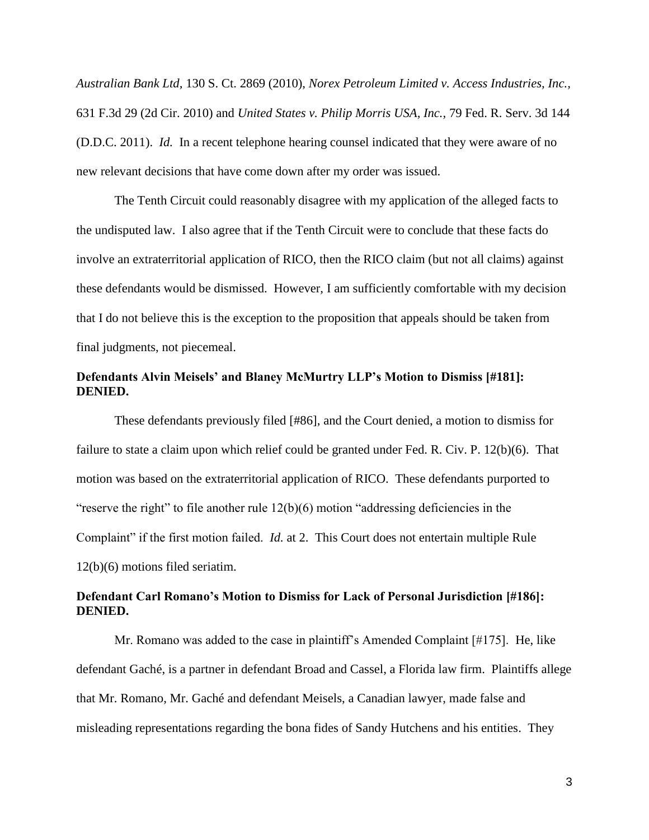*Australian Bank Ltd,* 130 S. Ct. 2869 (2010), *Norex Petroleum Limited v. Access Industries, Inc.,*  631 F.3d 29 (2d Cir. 2010) and *United States v. Philip Morris USA, Inc.,* 79 Fed. R. Serv. 3d 144 (D.D.C. 2011). *Id.* In a recent telephone hearing counsel indicated that they were aware of no new relevant decisions that have come down after my order was issued.

The Tenth Circuit could reasonably disagree with my application of the alleged facts to the undisputed law. I also agree that if the Tenth Circuit were to conclude that these facts do involve an extraterritorial application of RICO, then the RICO claim (but not all claims) against these defendants would be dismissed. However, I am sufficiently comfortable with my decision that I do not believe this is the exception to the proposition that appeals should be taken from final judgments, not piecemeal.

#### **Defendants Alvin Meisels' and Blaney McMurtry LLP's Motion to Dismiss [#181]: DENIED.**

These defendants previously filed [#86], and the Court denied, a motion to dismiss for failure to state a claim upon which relief could be granted under Fed. R. Civ. P. 12(b)(6). That motion was based on the extraterritorial application of RICO. These defendants purported to "reserve the right" to file another rule  $12(b)(6)$  motion "addressing deficiencies in the Complaint" if the first motion failed. *Id.* at 2. This Court does not entertain multiple Rule 12(b)(6) motions filed seriatim.

# **Defendant Carl Romano's Motion to Dismiss for Lack of Personal Jurisdiction [#186]: DENIED.**

Mr. Romano was added to the case in plaintiff's Amended Complaint [#175]. He, like defendant Gaché, is a partner in defendant Broad and Cassel, a Florida law firm. Plaintiffs allege that Mr. Romano, Mr. Gaché and defendant Meisels, a Canadian lawyer, made false and misleading representations regarding the bona fides of Sandy Hutchens and his entities. They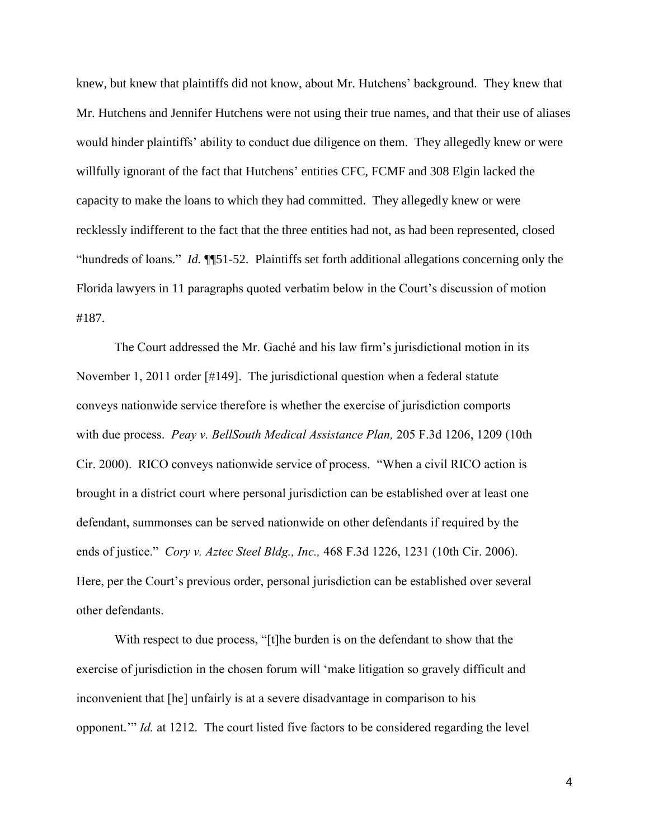knew, but knew that plaintiffs did not know, about Mr. Hutchens' background. They knew that Mr. Hutchens and Jennifer Hutchens were not using their true names, and that their use of aliases would hinder plaintiffs' ability to conduct due diligence on them. They allegedly knew or were willfully ignorant of the fact that Hutchens' entities CFC, FCMF and 308 Elgin lacked the capacity to make the loans to which they had committed. They allegedly knew or were recklessly indifferent to the fact that the three entities had not, as had been represented, closed "hundreds of loans." *Id.* ¶¶51-52. Plaintiffs set forth additional allegations concerning only the Florida lawyers in 11 paragraphs quoted verbatim below in the Court's discussion of motion #187.

The Court addressed the Mr. Gaché and his law firm's jurisdictional motion in its November 1, 2011 order [#149]. The jurisdictional question when a federal statute conveys nationwide service therefore is whether the exercise of jurisdiction comports with due process. *Peay v. BellSouth Medical Assistance Plan,* 205 F.3d 1206, 1209 (10th Cir. 2000). RICO conveys nationwide service of process. "When a civil RICO action is brought in a district court where personal jurisdiction can be established over at least one defendant, summonses can be served nationwide on other defendants if required by the ends of justice." *Cory v. Aztec Steel Bldg., Inc.,* 468 F.3d 1226, 1231 (10th Cir. 2006). Here, per the Court's previous order, personal jurisdiction can be established over several other defendants.

With respect to due process, "[t]he burden is on the defendant to show that the exercise of jurisdiction in the chosen forum will 'make litigation so gravely difficult and inconvenient that [he] unfairly is at a severe disadvantage in comparison to his opponent.'" *Id.* at 1212. The court listed five factors to be considered regarding the level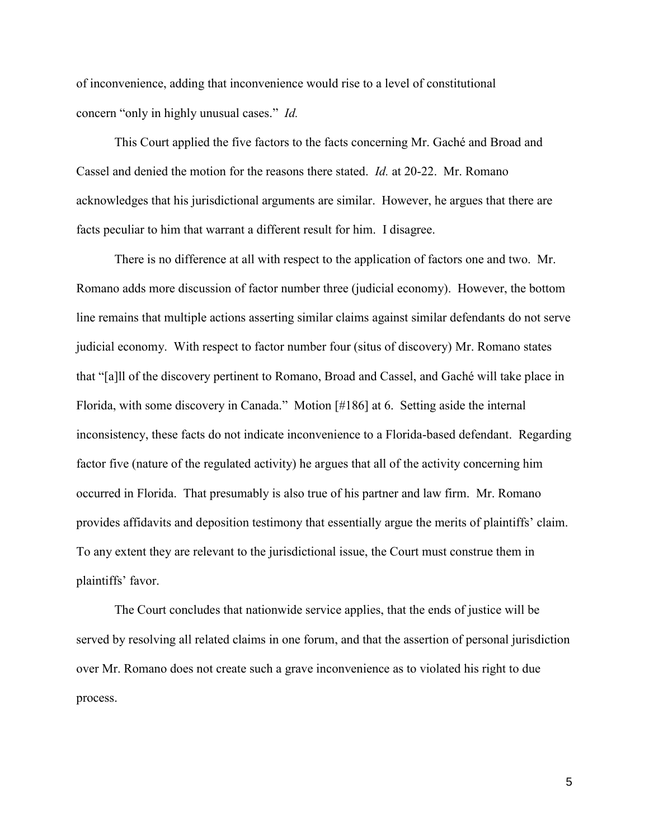of inconvenience, adding that inconvenience would rise to a level of constitutional concern "only in highly unusual cases." *Id.* 

This Court applied the five factors to the facts concerning Mr. Gaché and Broad and Cassel and denied the motion for the reasons there stated. *Id.* at 20-22. Mr. Romano acknowledges that his jurisdictional arguments are similar. However, he argues that there are facts peculiar to him that warrant a different result for him. I disagree.

There is no difference at all with respect to the application of factors one and two. Mr. Romano adds more discussion of factor number three (judicial economy). However, the bottom line remains that multiple actions asserting similar claims against similar defendants do not serve judicial economy. With respect to factor number four (situs of discovery) Mr. Romano states that "[a]ll of the discovery pertinent to Romano, Broad and Cassel, and Gaché will take place in Florida, with some discovery in Canada." Motion [#186] at 6. Setting aside the internal inconsistency, these facts do not indicate inconvenience to a Florida-based defendant. Regarding factor five (nature of the regulated activity) he argues that all of the activity concerning him occurred in Florida. That presumably is also true of his partner and law firm. Mr. Romano provides affidavits and deposition testimony that essentially argue the merits of plaintiffs' claim. To any extent they are relevant to the jurisdictional issue, the Court must construe them in plaintiffs' favor.

The Court concludes that nationwide service applies, that the ends of justice will be served by resolving all related claims in one forum, and that the assertion of personal jurisdiction over Mr. Romano does not create such a grave inconvenience as to violated his right to due process.

5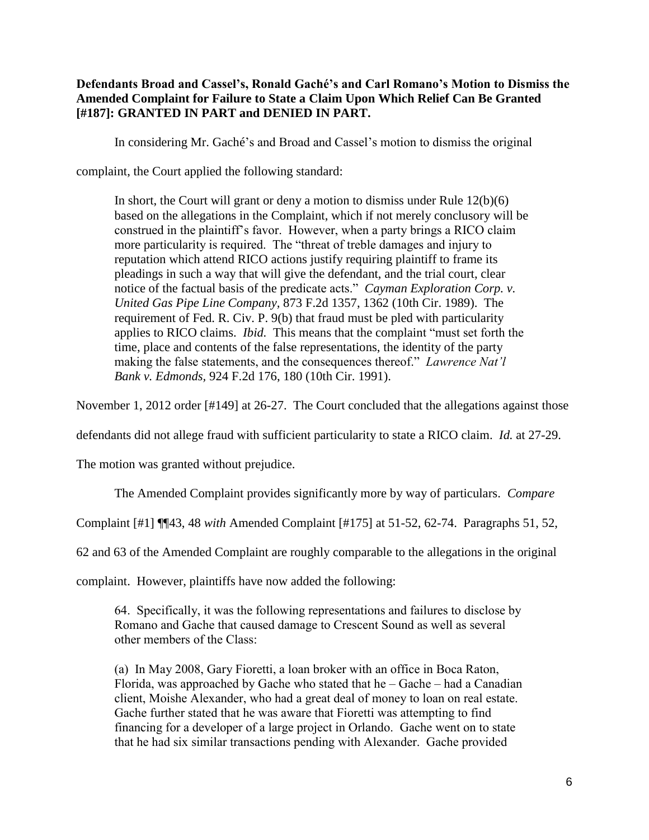# **Defendants Broad and Cassel's, Ronald Gaché's and Carl Romano's Motion to Dismiss the Amended Complaint for Failure to State a Claim Upon Which Relief Can Be Granted [#187]: GRANTED IN PART and DENIED IN PART.**

In considering Mr. Gaché's and Broad and Cassel's motion to dismiss the original

complaint, the Court applied the following standard:

In short, the Court will grant or deny a motion to dismiss under Rule 12(b)(6) based on the allegations in the Complaint, which if not merely conclusory will be construed in the plaintiff's favor. However, when a party brings a RICO claim more particularity is required. The "threat of treble damages and injury to reputation which attend RICO actions justify requiring plaintiff to frame its pleadings in such a way that will give the defendant, and the trial court, clear notice of the factual basis of the predicate acts." *Cayman Exploration Corp. v. United Gas Pipe Line Company,* 873 F.2d 1357, 1362 (10th Cir. 1989). The requirement of Fed. R. Civ. P. 9(b) that fraud must be pled with particularity applies to RICO claims. *Ibid.* This means that the complaint "must set forth the time, place and contents of the false representations, the identity of the party making the false statements, and the consequences thereof." *Lawrence Nat'l Bank v. Edmonds,* 924 F.2d 176, 180 (10th Cir. 1991).

November 1, 2012 order [#149] at 26-27. The Court concluded that the allegations against those

defendants did not allege fraud with sufficient particularity to state a RICO claim. *Id.* at 27-29.

The motion was granted without prejudice.

The Amended Complaint provides significantly more by way of particulars. *Compare* 

Complaint [#1] ¶¶43, 48 *with* Amended Complaint [#175] at 51-52, 62-74. Paragraphs 51, 52,

62 and 63 of the Amended Complaint are roughly comparable to the allegations in the original

complaint. However, plaintiffs have now added the following:

64. Specifically, it was the following representations and failures to disclose by Romano and Gache that caused damage to Crescent Sound as well as several other members of the Class:

(a) In May 2008, Gary Fioretti, a loan broker with an office in Boca Raton, Florida, was approached by Gache who stated that  $he -$ Gache – had a Canadian client, Moishe Alexander, who had a great deal of money to loan on real estate. Gache further stated that he was aware that Fioretti was attempting to find financing for a developer of a large project in Orlando. Gache went on to state that he had six similar transactions pending with Alexander. Gache provided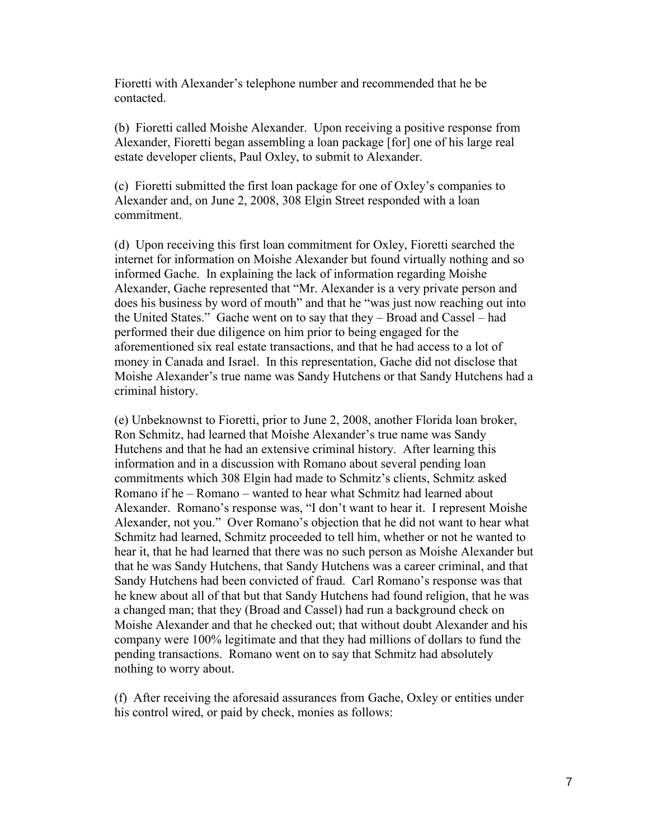Fioretti with Alexander's telephone number and recommended that he be contacted.

(b) Fioretti called Moishe Alexander. Upon receiving a positive response from Alexander, Fioretti began assembling a loan package [for] one of his large real estate developer clients, Paul Oxley, to submit to Alexander.

(c) Fioretti submitted the first loan package for one of Oxley's companies to Alexander and, on June 2, 2008, 308 Elgin Street responded with a loan commitment.

(d) Upon receiving this first loan commitment for Oxley, Fioretti searched the internet for information on Moishe Alexander but found virtually nothing and so informed Gache. In explaining the lack of information regarding Moishe Alexander, Gache represented that "Mr. Alexander is a very private person and does his business by word of mouth" and that he "was just now reaching out into the United States." Gache went on to say that they – Broad and Cassel – had performed their due diligence on him prior to being engaged for the aforementioned six real estate transactions, and that he had access to a lot of money in Canada and Israel. In this representation, Gache did not disclose that Moishe Alexander's true name was Sandy Hutchens or that Sandy Hutchens had a criminal history.

(e) Unbeknownst to Fioretti, prior to June 2, 2008, another Florida loan broker, Ron Schmitz, had learned that Moishe Alexander's true name was Sandy Hutchens and that he had an extensive criminal history. After learning this information and in a discussion with Romano about several pending loan commitments which 308 Elgin had made to Schmitz's clients, Schmitz asked Romano if he – Romano – wanted to hear what Schmitz had learned about Alexander. Romano's response was, "I don't want to hear it. I represent Moishe Alexander, not you." Over Romano's objection that he did not want to hear what Schmitz had learned, Schmitz proceeded to tell him, whether or not he wanted to hear it, that he had learned that there was no such person as Moishe Alexander but that he was Sandy Hutchens, that Sandy Hutchens was a career criminal, and that Sandy Hutchens had been convicted of fraud. Carl Romano's response was that he knew about all of that but that Sandy Hutchens had found religion, that he was a changed man; that they (Broad and Cassel) had run a background check on Moishe Alexander and that he checked out; that without doubt Alexander and his company were 100% legitimate and that they had millions of dollars to fund the pending transactions. Romano went on to say that Schmitz had absolutely nothing to worry about.

(f) After receiving the aforesaid assurances from Gache, Oxley or entities under his control wired, or paid by check, monies as follows: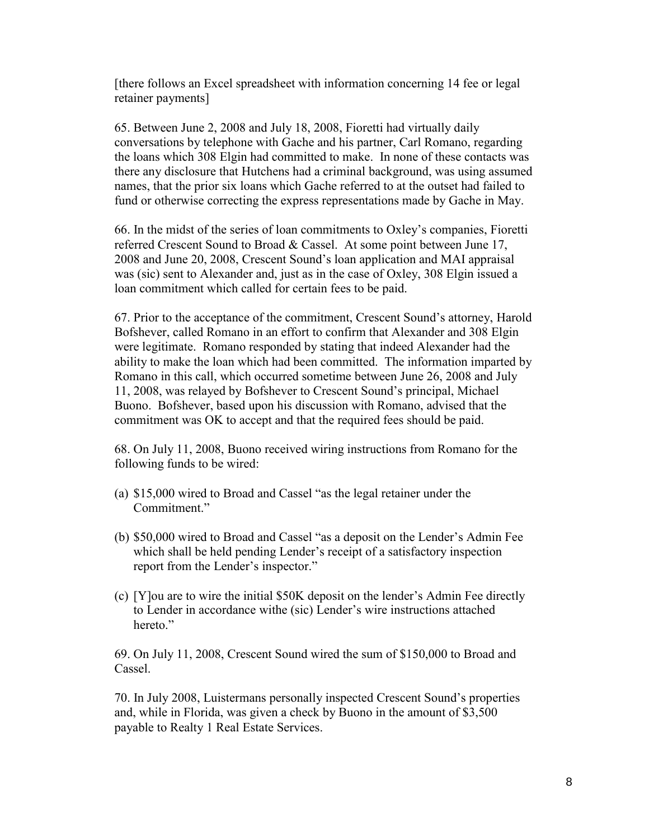[there follows an Excel spreadsheet with information concerning 14 fee or legal retainer payments]

65. Between June 2, 2008 and July 18, 2008, Fioretti had virtually daily conversations by telephone with Gache and his partner, Carl Romano, regarding the loans which 308 Elgin had committed to make. In none of these contacts was there any disclosure that Hutchens had a criminal background, was using assumed names, that the prior six loans which Gache referred to at the outset had failed to fund or otherwise correcting the express representations made by Gache in May.

66. In the midst of the series of loan commitments to Oxley's companies, Fioretti referred Crescent Sound to Broad & Cassel. At some point between June 17, 2008 and June 20, 2008, Crescent Sound's loan application and MAI appraisal was (sic) sent to Alexander and, just as in the case of Oxley, 308 Elgin issued a loan commitment which called for certain fees to be paid.

67. Prior to the acceptance of the commitment, Crescent Sound's attorney, Harold Bofshever, called Romano in an effort to confirm that Alexander and 308 Elgin were legitimate. Romano responded by stating that indeed Alexander had the ability to make the loan which had been committed. The information imparted by Romano in this call, which occurred sometime between June 26, 2008 and July 11, 2008, was relayed by Bofshever to Crescent Sound's principal, Michael Buono. Bofshever, based upon his discussion with Romano, advised that the commitment was OK to accept and that the required fees should be paid.

68. On July 11, 2008, Buono received wiring instructions from Romano for the following funds to be wired:

- (a) \$15,000 wired to Broad and Cassel "as the legal retainer under the Commitment."
- (b) \$50,000 wired to Broad and Cassel "as a deposit on the Lender's Admin Fee which shall be held pending Lender's receipt of a satisfactory inspection report from the Lender's inspector."
- (c) [Y]ou are to wire the initial \$50K deposit on the lender's Admin Fee directly to Lender in accordance withe (sic) Lender's wire instructions attached hereto."

69. On July 11, 2008, Crescent Sound wired the sum of \$150,000 to Broad and Cassel.

70. In July 2008, Luistermans personally inspected Crescent Sound's properties and, while in Florida, was given a check by Buono in the amount of \$3,500 payable to Realty 1 Real Estate Services.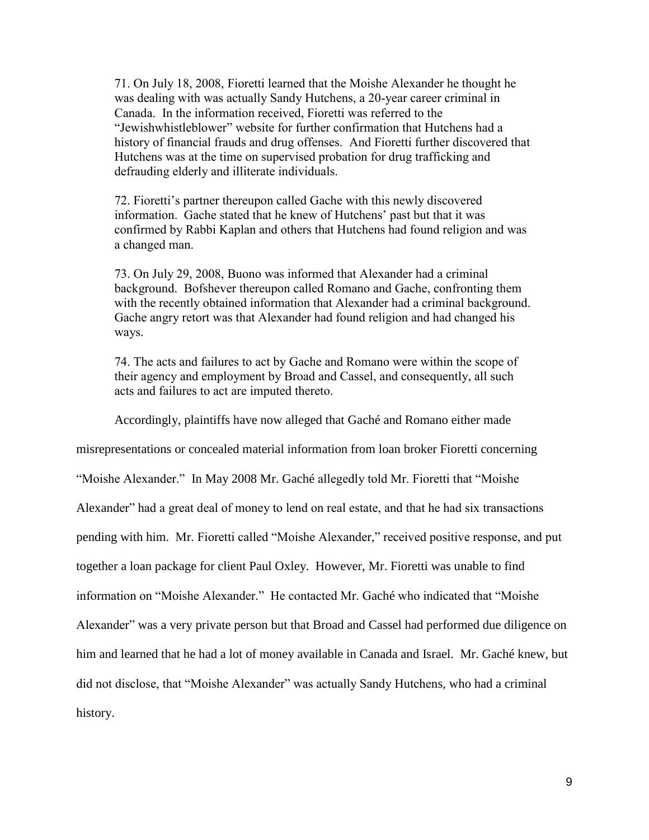71. On July 18, 2008, Fioretti learned that the Moishe Alexander he thought he was dealing with was actually Sandy Hutchens, a 20-year career criminal in Canada. In the information received, Fioretti was referred to the "Jewishwhistleblower" website for further confirmation that Hutchens had a history of financial frauds and drug offenses. And Fioretti further discovered that Hutchens was at the time on supervised probation for drug trafficking and defrauding elderly and illiterate individuals.

72. Fioretti's partner thereupon called Gache with this newly discovered information. Gache stated that he knew of Hutchens' past but that it was confirmed by Rabbi Kaplan and others that Hutchens had found religion and was a changed man.

73. On July 29, 2008, Buono was informed that Alexander had a criminal background. Bofshever thereupon called Romano and Gache, confronting them with the recently obtained information that Alexander had a criminal background. Gache angry retort was that Alexander had found religion and had changed his ways.

74. The acts and failures to act by Gache and Romano were within the scope of their agency and employment by Broad and Cassel, and consequently, all such acts and failures to act are imputed thereto.

Accordingly, plaintiffs have now alleged that Gaché and Romano either made

misrepresentations or concealed material information from loan broker Fioretti concerning "Moishe Alexander." In May 2008 Mr. Gaché allegedly told Mr. Fioretti that "Moishe Alexander" had a great deal of money to lend on real estate, and that he had six transactions pending with him. Mr. Fioretti called "Moishe Alexander," received positive response, and put together a loan package for client Paul Oxley. However, Mr. Fioretti was unable to find information on "Moishe Alexander." He contacted Mr. Gaché who indicated that "Moishe Alexander" was a very private person but that Broad and Cassel had performed due diligence on him and learned that he had a lot of money available in Canada and Israel. Mr. Gaché knew, but did not disclose, that "Moishe Alexander" was actually Sandy Hutchens, who had a criminal history.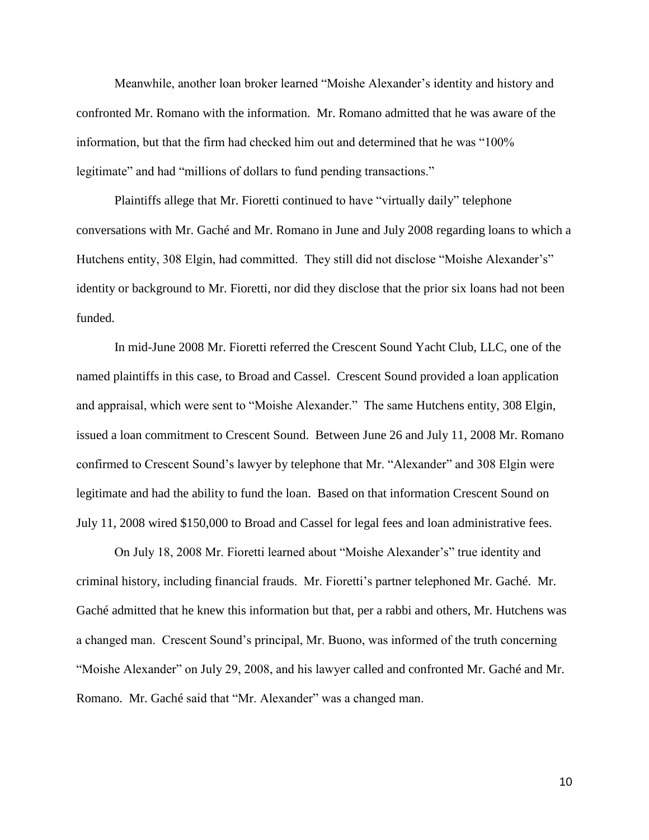Meanwhile, another loan broker learned "Moishe Alexander's identity and history and confronted Mr. Romano with the information. Mr. Romano admitted that he was aware of the information, but that the firm had checked him out and determined that he was "100% legitimate" and had "millions of dollars to fund pending transactions."

Plaintiffs allege that Mr. Fioretti continued to have "virtually daily" telephone conversations with Mr. Gaché and Mr. Romano in June and July 2008 regarding loans to which a Hutchens entity, 308 Elgin, had committed. They still did not disclose "Moishe Alexander's" identity or background to Mr. Fioretti, nor did they disclose that the prior six loans had not been funded.

In mid-June 2008 Mr. Fioretti referred the Crescent Sound Yacht Club, LLC, one of the named plaintiffs in this case, to Broad and Cassel. Crescent Sound provided a loan application and appraisal, which were sent to "Moishe Alexander." The same Hutchens entity, 308 Elgin, issued a loan commitment to Crescent Sound. Between June 26 and July 11, 2008 Mr. Romano confirmed to Crescent Sound's lawyer by telephone that Mr. "Alexander" and 308 Elgin were legitimate and had the ability to fund the loan. Based on that information Crescent Sound on July 11, 2008 wired \$150,000 to Broad and Cassel for legal fees and loan administrative fees.

On July 18, 2008 Mr. Fioretti learned about "Moishe Alexander's" true identity and criminal history, including financial frauds. Mr. Fioretti's partner telephoned Mr. Gaché. Mr. Gaché admitted that he knew this information but that, per a rabbi and others, Mr. Hutchens was a changed man. Crescent Sound's principal, Mr. Buono, was informed of the truth concerning "Moishe Alexander" on July 29, 2008, and his lawyer called and confronted Mr. Gaché and Mr. Romano. Mr. Gaché said that "Mr. Alexander" was a changed man.

10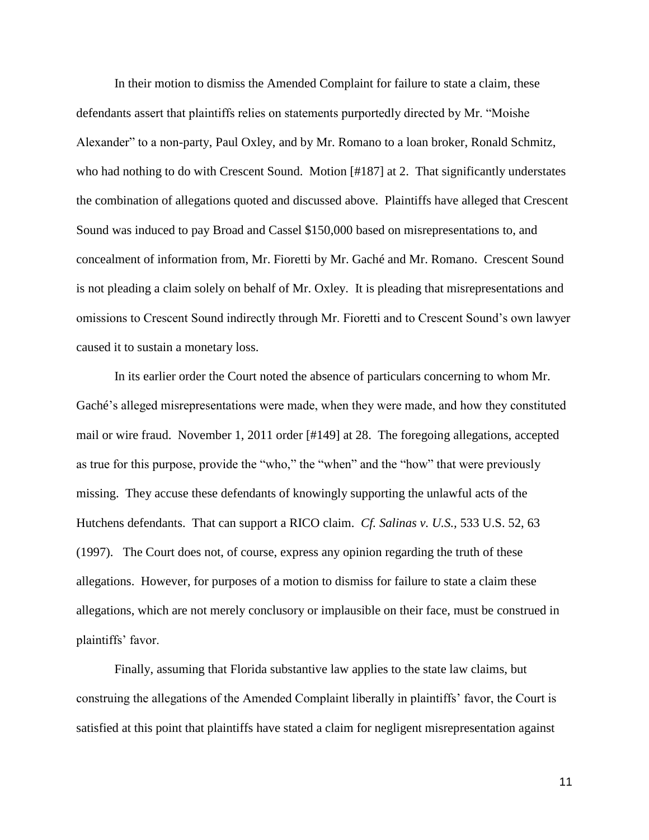In their motion to dismiss the Amended Complaint for failure to state a claim, these defendants assert that plaintiffs relies on statements purportedly directed by Mr. "Moishe Alexander" to a non-party, Paul Oxley, and by Mr. Romano to a loan broker, Ronald Schmitz, who had nothing to do with Crescent Sound. Motion [#187] at 2. That significantly understates the combination of allegations quoted and discussed above. Plaintiffs have alleged that Crescent Sound was induced to pay Broad and Cassel \$150,000 based on misrepresentations to, and concealment of information from, Mr. Fioretti by Mr. Gaché and Mr. Romano. Crescent Sound is not pleading a claim solely on behalf of Mr. Oxley. It is pleading that misrepresentations and omissions to Crescent Sound indirectly through Mr. Fioretti and to Crescent Sound's own lawyer caused it to sustain a monetary loss.

In its earlier order the Court noted the absence of particulars concerning to whom Mr. Gaché's alleged misrepresentations were made, when they were made, and how they constituted mail or wire fraud. November 1, 2011 order [#149] at 28. The foregoing allegations, accepted as true for this purpose, provide the "who," the "when" and the "how" that were previously missing. They accuse these defendants of knowingly supporting the unlawful acts of the Hutchens defendants. That can support a RICO claim. *Cf. Salinas v. U.S.,* 533 U.S. 52, 63 (1997). The Court does not, of course, express any opinion regarding the truth of these allegations. However, for purposes of a motion to dismiss for failure to state a claim these allegations, which are not merely conclusory or implausible on their face, must be construed in plaintiffs' favor.

Finally, assuming that Florida substantive law applies to the state law claims, but construing the allegations of the Amended Complaint liberally in plaintiffs' favor, the Court is satisfied at this point that plaintiffs have stated a claim for negligent misrepresentation against

11